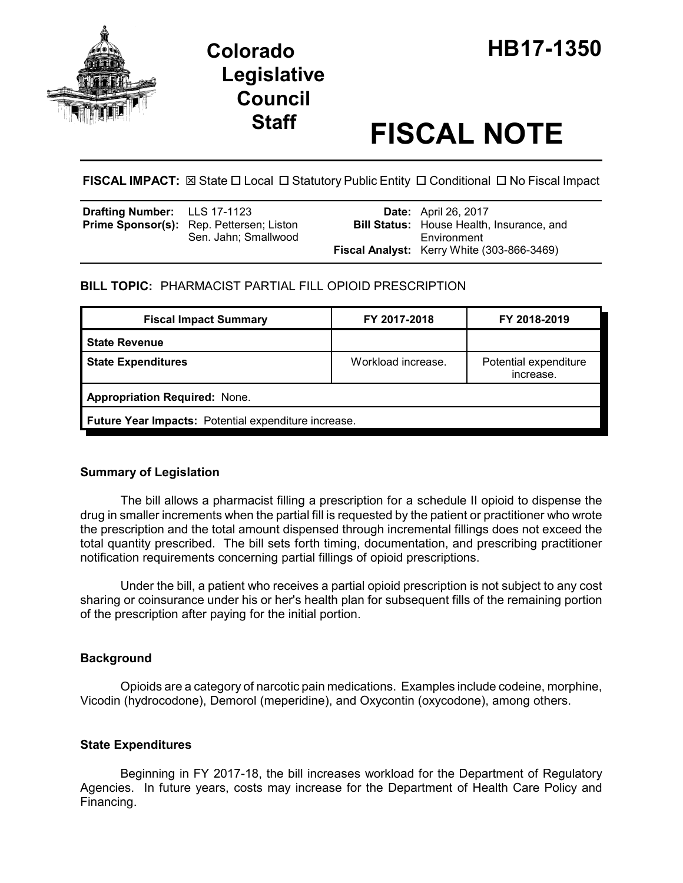

# **Legislative Council**

# **Staff FISCAL NOTE**

**FISCAL IMPACT:** ⊠ State □ Local □ Statutory Public Entity □ Conditional □ No Fiscal Impact

| <b>Drafting Number:</b> LLS 17-1123 |                                                 | <b>Date:</b> April 26, 2017                      |
|-------------------------------------|-------------------------------------------------|--------------------------------------------------|
|                                     | <b>Prime Sponsor(s):</b> Rep. Pettersen; Liston | <b>Bill Status:</b> House Health, Insurance, and |
|                                     | Sen. Jahn: Smallwood                            | Environment                                      |
|                                     |                                                 | Fiscal Analyst: Kerry White (303-866-3469)       |

## **BILL TOPIC:** PHARMACIST PARTIAL FILL OPIOID PRESCRIPTION

| <b>Fiscal Impact Summary</b>                         | FY 2017-2018       | FY 2018-2019                       |  |  |  |
|------------------------------------------------------|--------------------|------------------------------------|--|--|--|
| <b>State Revenue</b>                                 |                    |                                    |  |  |  |
| <b>State Expenditures</b>                            | Workload increase. | Potential expenditure<br>increase. |  |  |  |
| <b>Appropriation Required: None.</b>                 |                    |                                    |  |  |  |
| Future Year Impacts: Potential expenditure increase. |                    |                                    |  |  |  |

### **Summary of Legislation**

The bill allows a pharmacist filling a prescription for a schedule II opioid to dispense the drug in smaller increments when the partial fill is requested by the patient or practitioner who wrote the prescription and the total amount dispensed through incremental fillings does not exceed the total quantity prescribed. The bill sets forth timing, documentation, and prescribing practitioner notification requirements concerning partial fillings of opioid prescriptions.

Under the bill, a patient who receives a partial opioid prescription is not subject to any cost sharing or coinsurance under his or her's health plan for subsequent fills of the remaining portion of the prescription after paying for the initial portion.

### **Background**

Opioids are a category of narcotic pain medications. Examples include codeine, morphine, Vicodin (hydrocodone), Demorol (meperidine), and Oxycontin (oxycodone), among others.

### **State Expenditures**

Beginning in FY 2017-18, the bill increases workload for the Department of Regulatory Agencies. In future years, costs may increase for the Department of Health Care Policy and Financing.